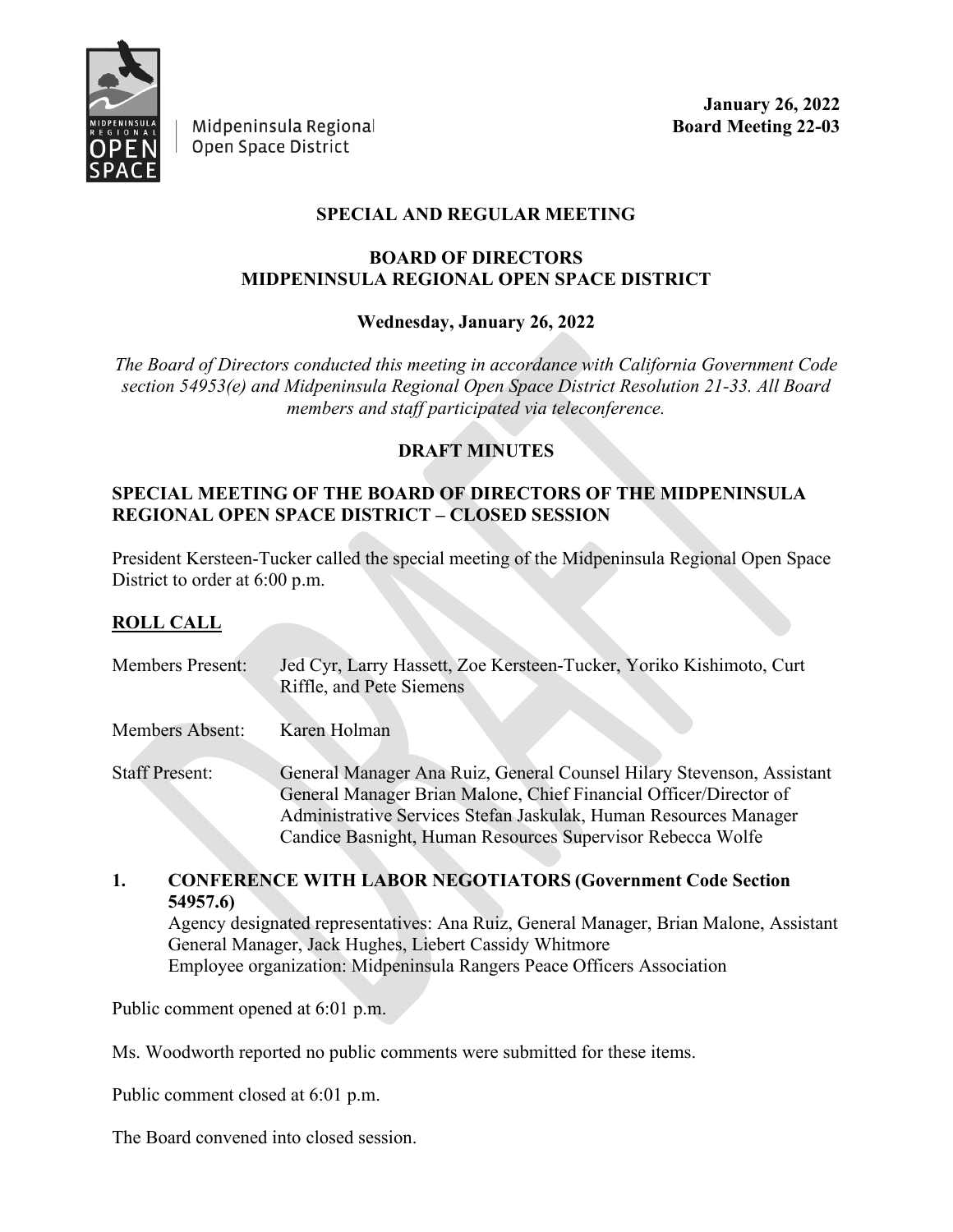

Midpeninsula Regional Open Space District

**January 26, 2022 Board Meeting 22-03**

#### **SPECIAL AND REGULAR MEETING**

#### **BOARD OF DIRECTORS MIDPENINSULA REGIONAL OPEN SPACE DISTRICT**

### **Wednesday, January 26, 2022**

*The Board of Directors conducted this meeting in accordance with California Government Code section 54953(e) and Midpeninsula Regional Open Space District Resolution 21-33. All Board members and staff participated via teleconference.*

#### **DRAFT MINUTES**

### **SPECIAL MEETING OF THE BOARD OF DIRECTORS OF THE MIDPENINSULA REGIONAL OPEN SPACE DISTRICT – CLOSED SESSION**

President Kersteen-Tucker called the special meeting of the Midpeninsula Regional Open Space District to order at 6:00 p.m.

### **ROLL CALL**

| <b>Members Present:</b> | Jed Cyr, Larry Hassett, Zoe Kersteen-Tucker, Yoriko Kishimoto, Curt<br>Riffle, and Pete Siemens                                                                                                                                                                              |
|-------------------------|------------------------------------------------------------------------------------------------------------------------------------------------------------------------------------------------------------------------------------------------------------------------------|
| Members Absent:         | Karen Holman                                                                                                                                                                                                                                                                 |
| <b>Staff Present:</b>   | General Manager Ana Ruiz, General Counsel Hilary Stevenson, Assistant<br>General Manager Brian Malone, Chief Financial Officer/Director of<br>Administrative Services Stefan Jaskulak, Human Resources Manager<br>Candice Basnight, Human Resources Supervisor Rebecca Wolfe |

#### **1. CONFERENCE WITH LABOR NEGOTIATORS (Government Code Section 54957.6)**

Agency designated representatives: Ana Ruiz, General Manager, Brian Malone, Assistant General Manager, Jack Hughes, Liebert Cassidy Whitmore  Employee organization: Midpeninsula Rangers Peace Officers Association  

Public comment opened at 6:01 p.m.

Ms. Woodworth reported no public comments were submitted for these items.

Public comment closed at 6:01 p.m.

The Board convened into closed session.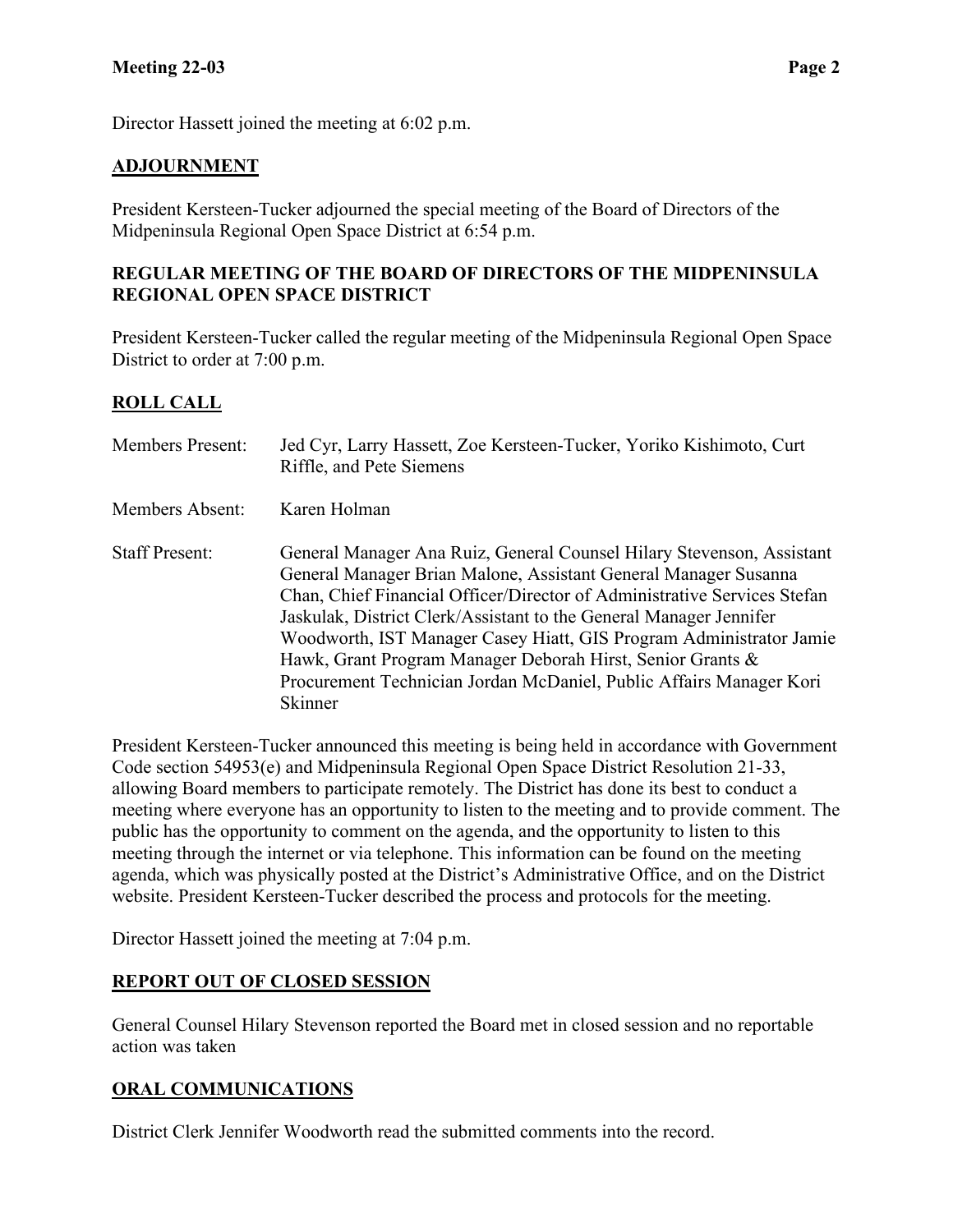Director Hassett joined the meeting at 6:02 p.m.

#### **ADJOURNMENT**

President Kersteen-Tucker adjourned the special meeting of the Board of Directors of the Midpeninsula Regional Open Space District at 6:54 p.m.

#### **REGULAR MEETING OF THE BOARD OF DIRECTORS OF THE MIDPENINSULA REGIONAL OPEN SPACE DISTRICT**

President Kersteen-Tucker called the regular meeting of the Midpeninsula Regional Open Space District to order at 7:00 p.m.

### **ROLL CALL**

| <b>Members Present:</b> | Jed Cyr, Larry Hassett, Zoe Kersteen-Tucker, Yoriko Kishimoto, Curt<br>Riffle, and Pete Siemens                                                                                                                                                                                                                                                                                                                                                                                                                   |
|-------------------------|-------------------------------------------------------------------------------------------------------------------------------------------------------------------------------------------------------------------------------------------------------------------------------------------------------------------------------------------------------------------------------------------------------------------------------------------------------------------------------------------------------------------|
| Members Absent:         | Karen Holman                                                                                                                                                                                                                                                                                                                                                                                                                                                                                                      |
| <b>Staff Present:</b>   | General Manager Ana Ruiz, General Counsel Hilary Stevenson, Assistant<br>General Manager Brian Malone, Assistant General Manager Susanna<br>Chan, Chief Financial Officer/Director of Administrative Services Stefan<br>Jaskulak, District Clerk/Assistant to the General Manager Jennifer<br>Woodworth, IST Manager Casey Hiatt, GIS Program Administrator Jamie<br>Hawk, Grant Program Manager Deborah Hirst, Senior Grants &<br>Procurement Technician Jordan McDaniel, Public Affairs Manager Kori<br>Skinner |

President Kersteen-Tucker announced this meeting is being held in accordance with Government Code section 54953(e) and Midpeninsula Regional Open Space District Resolution 21-33, allowing Board members to participate remotely. The District has done its best to conduct a meeting where everyone has an opportunity to listen to the meeting and to provide comment. The public has the opportunity to comment on the agenda, and the opportunity to listen to this meeting through the internet or via telephone. This information can be found on the meeting agenda, which was physically posted at the District's Administrative Office, and on the District website. President Kersteen-Tucker described the process and protocols for the meeting.

Director Hassett joined the meeting at 7:04 p.m.

#### **REPORT OUT OF CLOSED SESSION**

General Counsel Hilary Stevenson reported the Board met in closed session and no reportable action was taken

### **ORAL COMMUNICATIONS**

District Clerk Jennifer Woodworth read the submitted comments into the record.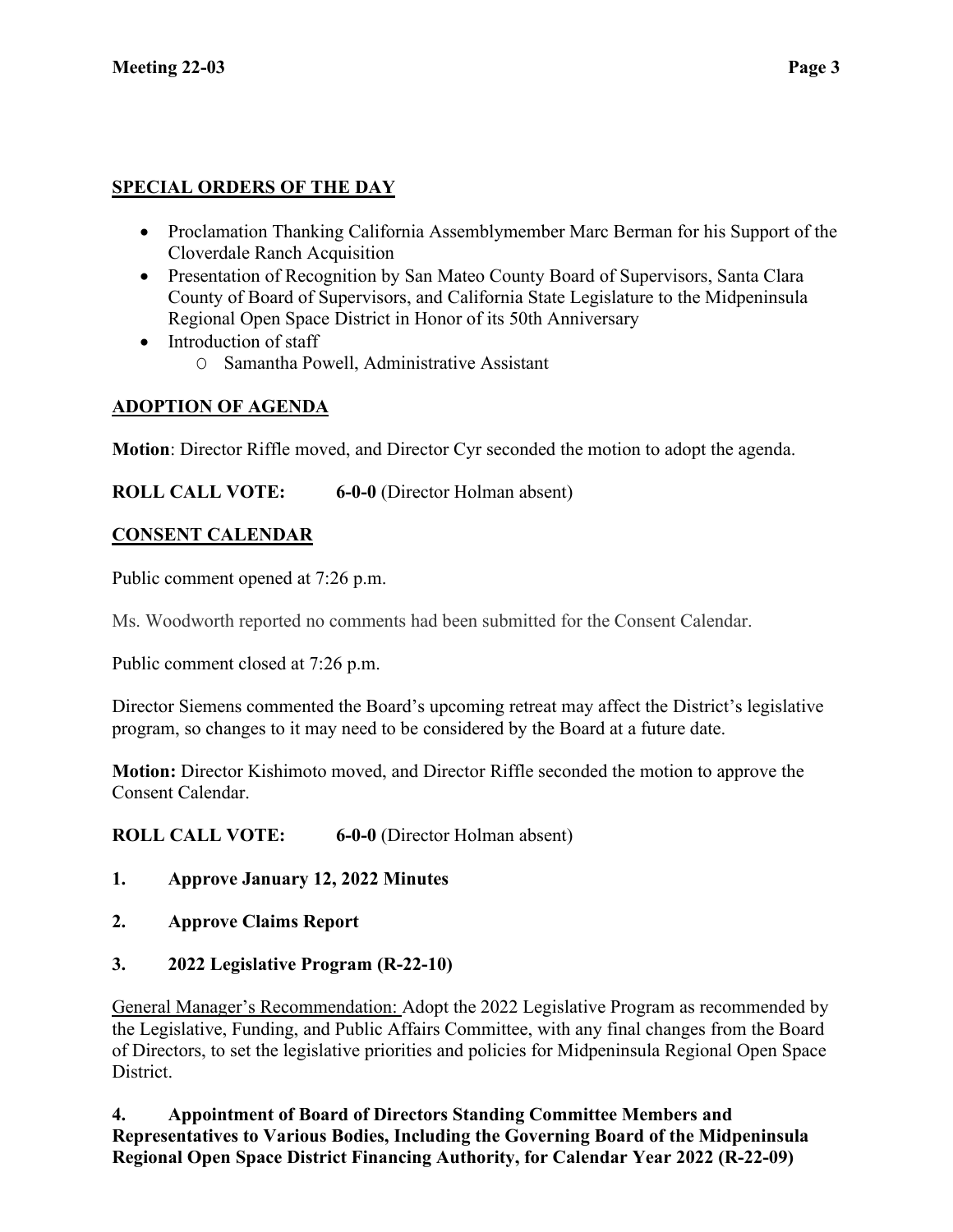## **SPECIAL ORDERS OF THE DAY**

- Proclamation Thanking California Assemblymember Marc Berman for his Support of the Cloverdale Ranch Acquisition
- Presentation of Recognition by San Mateo County Board of Supervisors, Santa Clara County of Board of Supervisors, and California State Legislature to the Midpeninsula Regional Open Space District in Honor of its 50th Anniversary
- Introduction of staff
	- O Samantha Powell, Administrative Assistant

# **ADOPTION OF AGENDA**

**Motion**: Director Riffle moved, and Director Cyr seconded the motion to adopt the agenda.

**ROLL CALL VOTE: 6-0-0** (Director Holman absent)

# **CONSENT CALENDAR**

Public comment opened at 7:26 p.m.

Ms. Woodworth reported no comments had been submitted for the Consent Calendar.

Public comment closed at 7:26 p.m.

Director Siemens commented the Board's upcoming retreat may affect the District's legislative program, so changes to it may need to be considered by the Board at a future date.

**Motion:** Director Kishimoto moved, and Director Riffle seconded the motion to approve the Consent Calendar.

**ROLL CALL VOTE: 6-0-0** (Director Holman absent)

- **1. Approve January 12, 2022 Minutes**
- **2. Approve Claims Report**
- **3. 2022 Legislative Program (R-22-10)**

General Manager's Recommendation: Adopt the 2022 Legislative Program as recommended by the Legislative, Funding, and Public Affairs Committee, with any final changes from the Board of Directors, to set the legislative priorities and policies for Midpeninsula Regional Open Space District.

**4. Appointment of Board of Directors Standing Committee Members and Representatives to Various Bodies, Including the Governing Board of the Midpeninsula Regional Open Space District Financing Authority, for Calendar Year 2022 (R-22-09)**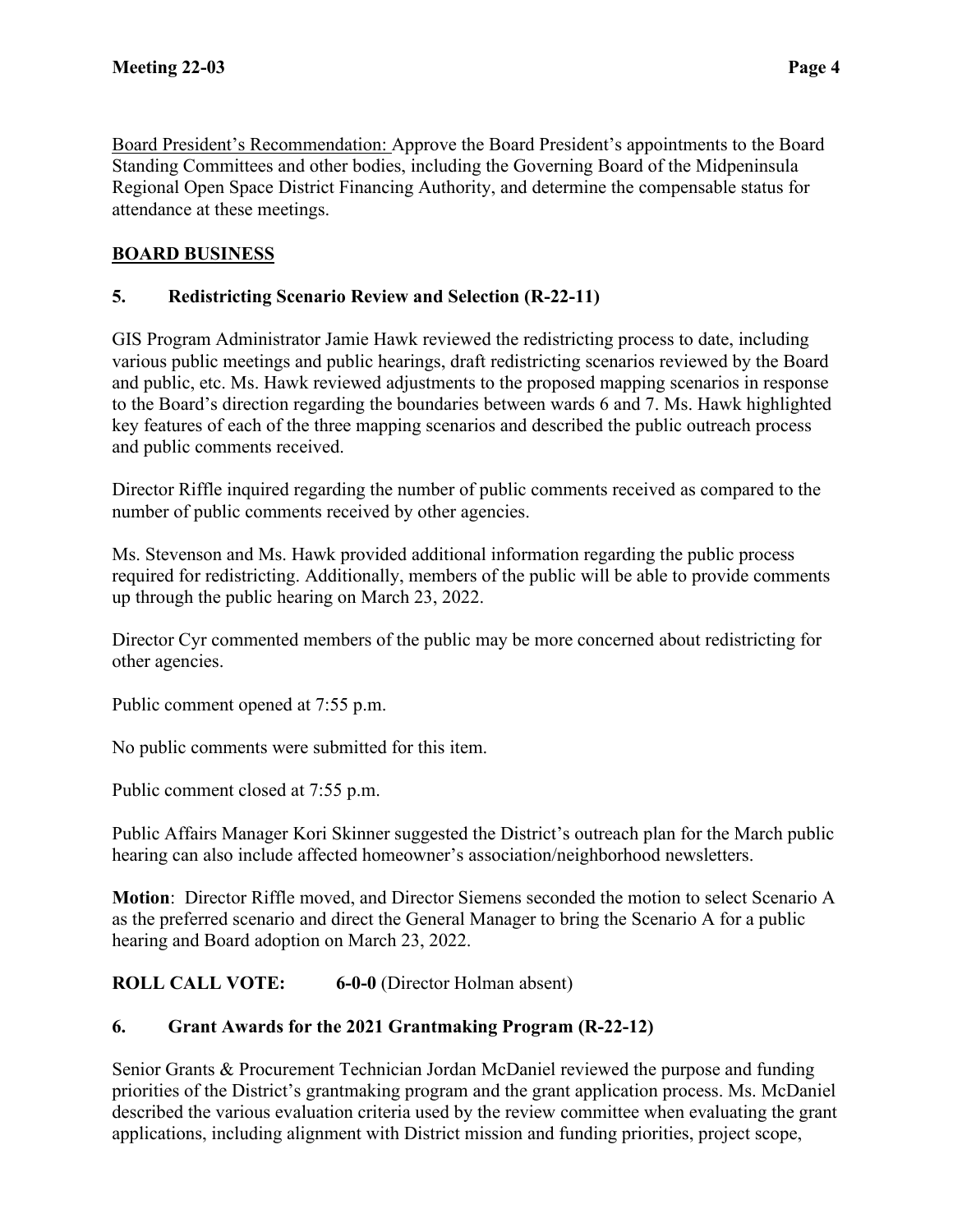Board President's Recommendation: Approve the Board President's appointments to the Board Standing Committees and other bodies, including the Governing Board of the Midpeninsula Regional Open Space District Financing Authority, and determine the compensable status for attendance at these meetings.

## **BOARD BUSINESS**

### **5. Redistricting Scenario Review and Selection (R-22-11)**

GIS Program Administrator Jamie Hawk reviewed the redistricting process to date, including various public meetings and public hearings, draft redistricting scenarios reviewed by the Board and public, etc. Ms. Hawk reviewed adjustments to the proposed mapping scenarios in response to the Board's direction regarding the boundaries between wards 6 and 7. Ms. Hawk highlighted key features of each of the three mapping scenarios and described the public outreach process and public comments received.

Director Riffle inquired regarding the number of public comments received as compared to the number of public comments received by other agencies.

Ms. Stevenson and Ms. Hawk provided additional information regarding the public process required for redistricting. Additionally, members of the public will be able to provide comments up through the public hearing on March 23, 2022.

Director Cyr commented members of the public may be more concerned about redistricting for other agencies.

Public comment opened at 7:55 p.m.

No public comments were submitted for this item.

Public comment closed at 7:55 p.m.

Public Affairs Manager Kori Skinner suggested the District's outreach plan for the March public hearing can also include affected homeowner's association/neighborhood newsletters.

**Motion**: Director Riffle moved, and Director Siemens seconded the motion to select Scenario A as the preferred scenario and direct the General Manager to bring the Scenario A for a public hearing and Board adoption on March 23, 2022.

**ROLL CALL VOTE: 6-0-0** (Director Holman absent)

### **6. Grant Awards for the 2021 Grantmaking Program (R-22-12)**

Senior Grants & Procurement Technician Jordan McDaniel reviewed the purpose and funding priorities of the District's grantmaking program and the grant application process. Ms. McDaniel described the various evaluation criteria used by the review committee when evaluating the grant applications, including alignment with District mission and funding priorities, project scope,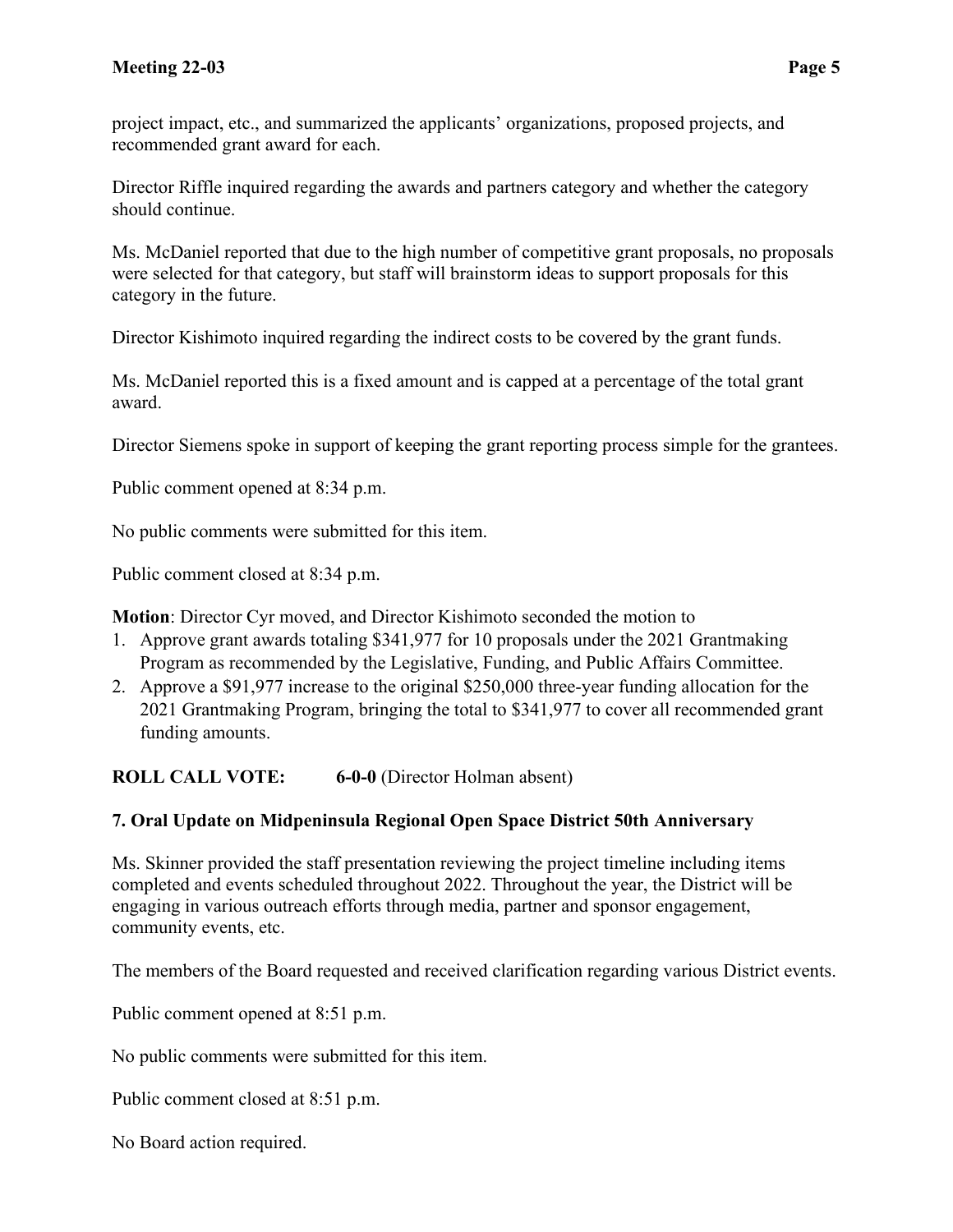project impact, etc., and summarized the applicants' organizations, proposed projects, and recommended grant award for each.

Director Riffle inquired regarding the awards and partners category and whether the category should continue.

Ms. McDaniel reported that due to the high number of competitive grant proposals, no proposals were selected for that category, but staff will brainstorm ideas to support proposals for this category in the future.

Director Kishimoto inquired regarding the indirect costs to be covered by the grant funds.

Ms. McDaniel reported this is a fixed amount and is capped at a percentage of the total grant award.

Director Siemens spoke in support of keeping the grant reporting process simple for the grantees.

Public comment opened at 8:34 p.m.

No public comments were submitted for this item.

Public comment closed at 8:34 p.m.

**Motion**: Director Cyr moved, and Director Kishimoto seconded the motion to

- 1. Approve grant awards totaling \$341,977 for 10 proposals under the 2021 Grantmaking Program as recommended by the Legislative, Funding, and Public Affairs Committee.
- 2. Approve a \$91,977 increase to the original \$250,000 three-year funding allocation for the 2021 Grantmaking Program, bringing the total to \$341,977 to cover all recommended grant funding amounts.

**ROLL CALL VOTE: 6-0-0** (Director Holman absent)

#### **7. Oral Update on Midpeninsula Regional Open Space District 50th Anniversary**

Ms. Skinner provided the staff presentation reviewing the project timeline including items completed and events scheduled throughout 2022. Throughout the year, the District will be engaging in various outreach efforts through media, partner and sponsor engagement, community events, etc.

The members of the Board requested and received clarification regarding various District events.

Public comment opened at 8:51 p.m.

No public comments were submitted for this item.

Public comment closed at 8:51 p.m.

No Board action required.